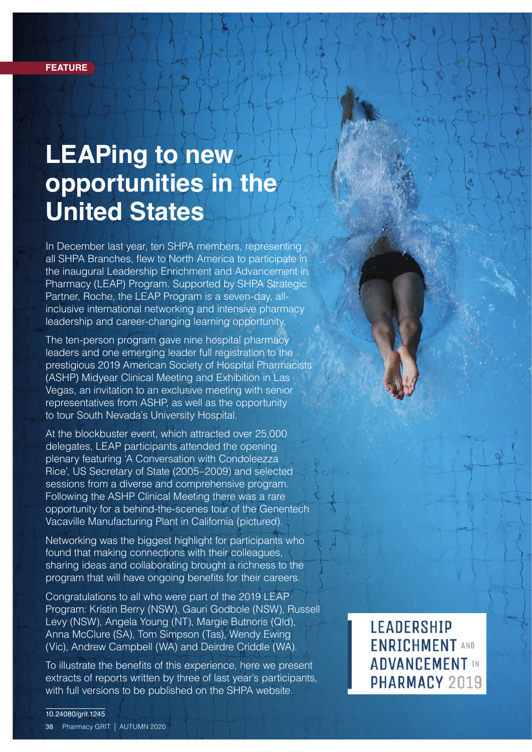# **LEAPing to new opportunities in the United States**

In December last year, ten SHPA members, representing all SHPA Branches, flew to North America to participate in the inaugural Leadership Enrichment and Advancement in Pharmacy (LEAP) Program. Supported by SHPA Strategic Partner, Roche, the LEAP Program is a seven-day, allinclusive international networking and intensive pharmacy leadership and career-changing learning opportunity.

The ten-person program gave nine hospital pharmacy leaders and one emerging leader full registration to the prestigious 2019 American Society of Hospital Pharmacists (ASHP) Midyear Clinical Meeting and Exhibition in Las Vegas, an invitation to an exclusive meeting with senior representatives from ASHP, as well as the opportunity to tour South Nevada's University Hospital.

At the blockbuster event, which attracted over 25,000 delegates, LEAP participants attended the opening plenary featuring 'A Conversation with Condoleezza Rice', US Secretary of State (2005–2009) and selected sessions from a diverse and comprehensive program. Following the ASHP Clinical Meeting there was a rare opportunity for a behind-the-scenes tour of the Genentech Vacaville Manufacturing Plant in California (pictured).

Networking was the biggest highlight for participants who found that making connections with their colleagues, sharing ideas and collaborating brought a richness to the program that will have ongoing benefits for their careers.

Congratulations to all who were part of the 2019 LEAP Program: Kristin Berry (NSW), Gauri Godbole (NSW), Russell Levy (NSW), Angela Young (NT), Margie Butnoris (Qld), Anna McClure (SA), Tom Simpson (Tas), Wendy Ewing (Vic), Andrew Campbell (WA) and Deirdre Criddle (WA).

To illustrate the benefits of this experience, here we present extracts of reports written by three of last year's participants, with full versions to be published on the SHPA website.

**LEADERSHIP ENRICHMENT AND ADVANCEMENT IN** PHARMACY 2019

10.24080/grit.1245 38 Pharmacy GRIT | AUTUMN 2020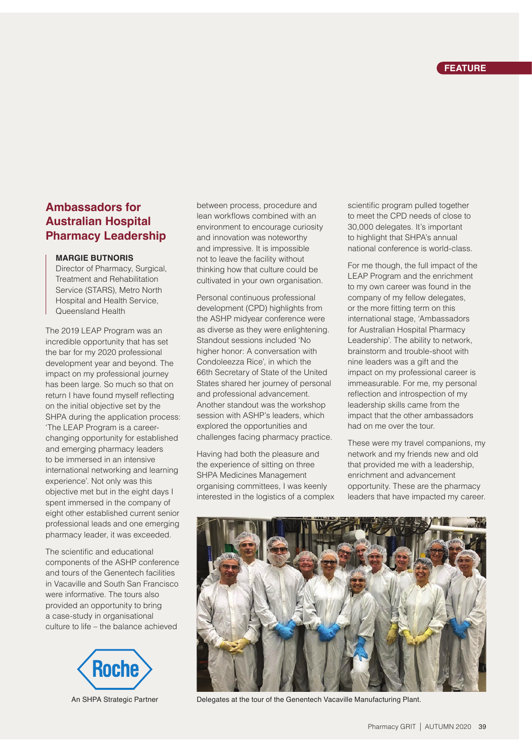## **Ambassadors for Australian Hospital Pharmacy Leadership**

#### **MARGIE BUTNORIS**

Director of Pharmacy, Surgical, Treatment and Rehabilitation Service (STARS), Metro North Hospital and Health Service, Queensland Health

The 2019 LEAP Program was an incredible opportunity that has set the bar for my 2020 professional development year and beyond. The impact on my professional journey has been large. So much so that on return I have found myself reflecting on the initial objective set by the SHPA during the application process: 'The LEAP Program is a careerchanging opportunity for established and emerging pharmacy leaders to be immersed in an intensive international networking and learning experience'. Not only was this objective met but in the eight days I spent immersed in the company of eight other established current senior professional leads and one emerging pharmacy leader, it was exceeded.

The scientific and educational components of the ASHP conference and tours of the Genentech facilities in Vacaville and South San Francisco were informative. The tours also provided an opportunity to bring a case-study in organisational culture to life – the balance achieved



between process, procedure and lean workflows combined with an environment to encourage curiosity and innovation was noteworthy and impressive. It is impossible not to leave the facility without thinking how that culture could be cultivated in your own organisation.

Personal continuous professional development (CPD) highlights from the ASHP midyear conference were as diverse as they were enlightening. Standout sessions included 'No higher honor: A conversation with Condoleezza Rice', in which the 66th Secretary of State of the United States shared her journey of personal and professional advancement. Another standout was the workshop session with ASHP's leaders, which explored the opportunities and challenges facing pharmacy practice.

Having had both the pleasure and the experience of sitting on three SHPA Medicines Management organising committees, I was keenly interested in the logistics of a complex scientific program pulled together to meet the CPD needs of close to 30,000 delegates. It's important to highlight that SHPA's annual national conference is world-class.

For me though, the full impact of the LEAP Program and the enrichment to my own career was found in the company of my fellow delegates, or the more fitting term on this international stage, 'Ambassadors for Australian Hospital Pharmacy Leadership'. The ability to network, brainstorm and trouble-shoot with nine leaders was a gift and the impact on my professional career is immeasurable. For me, my personal reflection and introspection of my leadership skills came from the impact that the other ambassadors had on me over the tour.

These were my travel companions, my network and my friends new and old that provided me with a leadership, enrichment and advancement opportunity. These are the pharmacy leaders that have impacted my career.



An SHPA Strategic Partner Delegates at the tour of the Genentech Vacaville Manufacturing Plant.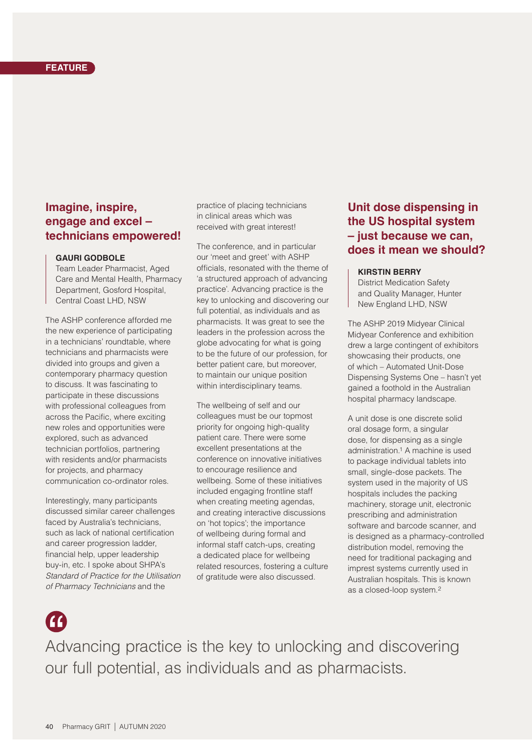#### **FEATURE**

### **Imagine, inspire, engage and excel – technicians empowered!**

#### **GAURI GODBOLE**

Team Leader Pharmacist, Aged Care and Mental Health, Pharmacy Department, Gosford Hospital, Central Coast LHD, NSW

The ASHP conference afforded me the new experience of participating in a technicians' roundtable, where technicians and pharmacists were divided into groups and given a contemporary pharmacy question to discuss. It was fascinating to participate in these discussions with professional colleagues from across the Pacific, where exciting new roles and opportunities were explored, such as advanced technician portfolios, partnering with residents and/or pharmacists for projects, and pharmacy communication co-ordinator roles.

Interestingly, many participants discussed similar career challenges faced by Australia's technicians, such as lack of national certification and career progression ladder, financial help, upper leadership buy-in, etc. I spoke about SHPA's *Standard of Practice for the Utilisation of Pharmacy Technicians* and the

practice of placing technicians in clinical areas which was received with great interest!

The conference, and in particular our 'meet and greet' with ASHP officials, resonated with the theme of 'a structured approach of advancing practice'. Advancing practice is the key to unlocking and discovering our full potential, as individuals and as pharmacists. It was great to see the leaders in the profession across the globe advocating for what is going to be the future of our profession, for better patient care, but moreover, to maintain our unique position within interdisciplinary teams.

The wellbeing of self and our colleagues must be our topmost priority for ongoing high-quality patient care. There were some excellent presentations at the conference on innovative initiatives to encourage resilience and wellbeing. Some of these initiatives included engaging frontline staff when creating meeting agendas, and creating interactive discussions on 'hot topics'; the importance of wellbeing during formal and informal staff catch-ups, creating a dedicated place for wellbeing related resources, fostering a culture of gratitude were also discussed.

## **Unit dose dispensing in the US hospital system – just because we can, does it mean we should?**

#### **KIRSTIN BERRY**

District Medication Safety and Quality Manager, Hunter New England LHD, NSW

The ASHP 2019 Midyear Clinical Midyear Conference and exhibition drew a large contingent of exhibitors showcasing their products, one of which – Automated Unit-Dose Dispensing Systems One – hasn't yet gained a foothold in the Australian hospital pharmacy landscape.

A unit dose is one discrete solid oral dosage form, a singular dose, for dispensing as a single administration.1 A machine is used to package individual tablets into small, single-dose packets. The system used in the majority of US hospitals includes the packing machinery, storage unit, electronic prescribing and administration software and barcode scanner, and is designed as a pharmacy-controlled distribution model, removing the need for traditional packaging and imprest systems currently used in Australian hospitals. This is known as a closed-loop system.2

## **A**

Advancing practice is the key to unlocking and discovering our full potential, as individuals and as pharmacists.